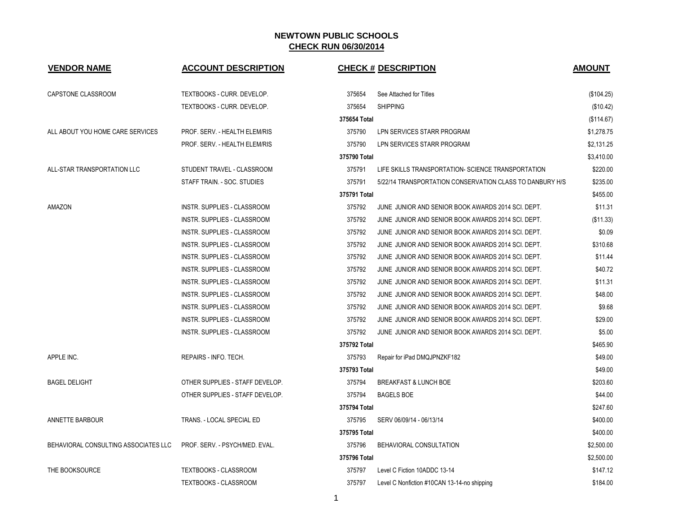| <b>VENDOR NAME</b>                   | <b>ACCOUNT DESCRIPTION</b>         |              | <b>CHECK # DESCRIPTION</b>                               | <b>AMOUNT</b> |
|--------------------------------------|------------------------------------|--------------|----------------------------------------------------------|---------------|
| CAPSTONE CLASSROOM                   | TEXTBOOKS - CURR. DEVELOP.         | 375654       | See Attached for Titles                                  | (\$104.25)    |
|                                      | TEXTBOOKS - CURR. DEVELOP.         | 375654       | <b>SHIPPING</b>                                          | (\$10.42)     |
|                                      |                                    | 375654 Total |                                                          | (\$114.67)    |
| ALL ABOUT YOU HOME CARE SERVICES     | PROF. SERV. - HEALTH ELEM/RIS      | 375790       | LPN SERVICES STARR PROGRAM                               | \$1,278.75    |
|                                      | PROF. SERV. - HEALTH ELEM/RIS      | 375790       | LPN SERVICES STARR PROGRAM                               | \$2,131.25    |
|                                      |                                    | 375790 Total |                                                          | \$3,410.00    |
| ALL-STAR TRANSPORTATION LLC          | STUDENT TRAVEL - CLASSROOM         | 375791       | LIFE SKILLS TRANSPORTATION- SCIENCE TRANSPORTATION       | \$220.00      |
|                                      | STAFF TRAIN. - SOC. STUDIES        | 375791       | 5/22/14 TRANSPORTATION CONSERVATION CLASS TO DANBURY H/S | \$235.00      |
|                                      |                                    | 375791 Total |                                                          | \$455.00      |
| AMAZON                               | INSTR. SUPPLIES - CLASSROOM        | 375792       | JUNE JUNIOR AND SENIOR BOOK AWARDS 2014 SCI. DEPT.       | \$11.31       |
|                                      | INSTR. SUPPLIES - CLASSROOM        | 375792       | JUNE JUNIOR AND SENIOR BOOK AWARDS 2014 SCI. DEPT.       | (\$11.33)     |
|                                      | INSTR. SUPPLIES - CLASSROOM        | 375792       | JUNE JUNIOR AND SENIOR BOOK AWARDS 2014 SCI. DEPT.       | \$0.09        |
|                                      | INSTR. SUPPLIES - CLASSROOM        | 375792       | JUNE JUNIOR AND SENIOR BOOK AWARDS 2014 SCI. DEPT.       | \$310.68      |
|                                      | <b>INSTR. SUPPLIES - CLASSROOM</b> | 375792       | JUNE JUNIOR AND SENIOR BOOK AWARDS 2014 SCI. DEPT.       | \$11.44       |
|                                      | <b>INSTR. SUPPLIES - CLASSROOM</b> | 375792       | JUNE JUNIOR AND SENIOR BOOK AWARDS 2014 SCI. DEPT.       | \$40.72       |
|                                      | INSTR. SUPPLIES - CLASSROOM        | 375792       | JUNE JUNIOR AND SENIOR BOOK AWARDS 2014 SCI. DEPT.       | \$11.31       |
|                                      | <b>INSTR. SUPPLIES - CLASSROOM</b> | 375792       | JUNE JUNIOR AND SENIOR BOOK AWARDS 2014 SCI. DEPT.       | \$48.00       |
|                                      | <b>INSTR. SUPPLIES - CLASSROOM</b> | 375792       | JUNE JUNIOR AND SENIOR BOOK AWARDS 2014 SCI. DEPT.       | \$9.68        |
|                                      | <b>INSTR. SUPPLIES - CLASSROOM</b> | 375792       | JUNE JUNIOR AND SENIOR BOOK AWARDS 2014 SCI. DEPT.       | \$29.00       |
|                                      | <b>INSTR. SUPPLIES - CLASSROOM</b> | 375792       | JUNE JUNIOR AND SENIOR BOOK AWARDS 2014 SCI. DEPT.       | \$5.00        |
|                                      |                                    | 375792 Total |                                                          | \$465.90      |
| APPLE INC.                           | REPAIRS - INFO. TECH.              | 375793       | Repair for iPad DMQJPNZKF182                             | \$49.00       |
|                                      |                                    | 375793 Total |                                                          | \$49.00       |
| <b>BAGEL DELIGHT</b>                 | OTHER SUPPLIES - STAFF DEVELOP.    | 375794       | BREAKFAST & LUNCH BOE                                    | \$203.60      |
|                                      | OTHER SUPPLIES - STAFF DEVELOP.    | 375794       | <b>BAGELS BOE</b>                                        | \$44.00       |
|                                      |                                    | 375794 Total |                                                          | \$247.60      |
| ANNETTE BARBOUR                      | TRANS. - LOCAL SPECIAL ED          | 375795       | SERV 06/09/14 - 06/13/14                                 | \$400.00      |
|                                      |                                    | 375795 Total |                                                          | \$400.00      |
| BEHAVIORAL CONSULTING ASSOCIATES LLC | PROF. SERV. - PSYCH/MED. EVAL.     | 375796       | BEHAVIORAL CONSULTATION                                  | \$2,500.00    |
|                                      |                                    | 375796 Total |                                                          | \$2,500.00    |
| THE BOOKSOURCE                       | <b>TEXTBOOKS - CLASSROOM</b>       | 375797       | Level C Fiction 10ADDC 13-14                             | \$147.12      |
|                                      | <b>TEXTBOOKS - CLASSROOM</b>       | 375797       | Level C Nonfiction #10CAN 13-14-no shipping              | \$184.00      |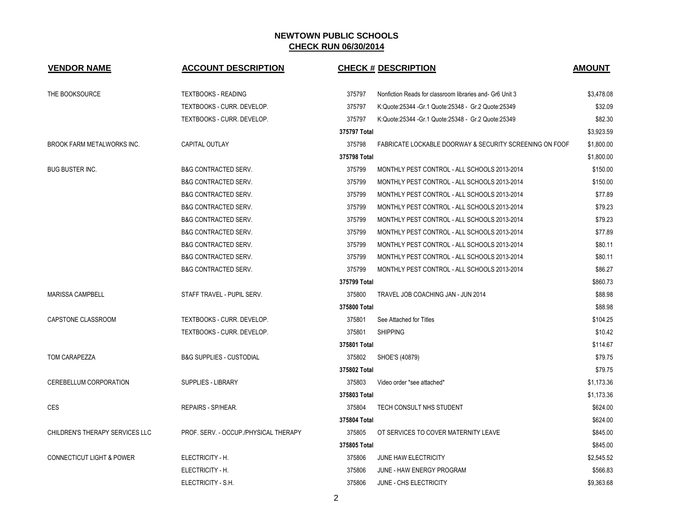| <b>VENDOR NAME</b>                   | <b>ACCOUNT DESCRIPTION</b>            |              | <b>CHECK # DESCRIPTION</b>                               | <b>AMOUNT</b> |
|--------------------------------------|---------------------------------------|--------------|----------------------------------------------------------|---------------|
| THE BOOKSOURCE                       | <b>TEXTBOOKS - READING</b>            | 375797       | Nonfiction Reads for classroom libraries and- Gr6 Unit 3 | \$3,478.08    |
|                                      | TEXTBOOKS - CURR. DEVELOP.            | 375797       | K:Quote:25344 - Gr.1 Quote:25348 - Gr.2 Quote:25349      | \$32.09       |
|                                      | TEXTBOOKS - CURR. DEVELOP.            | 375797       | K:Quote:25344 - Gr.1 Quote:25348 - Gr.2 Quote:25349      | \$82.30       |
|                                      |                                       | 375797 Total |                                                          | \$3,923.59    |
| <b>BROOK FARM METALWORKS INC.</b>    | <b>CAPITAL OUTLAY</b>                 | 375798       | FABRICATE LOCKABLE DOORWAY & SECURITY SCREENING ON FOOF  | \$1,800.00    |
|                                      |                                       | 375798 Total |                                                          | \$1,800.00    |
| <b>BUG BUSTER INC.</b>               | <b>B&amp;G CONTRACTED SERV.</b>       | 375799       | MONTHLY PEST CONTROL - ALL SCHOOLS 2013-2014             | \$150.00      |
|                                      | <b>B&amp;G CONTRACTED SERV.</b>       | 375799       | MONTHLY PEST CONTROL - ALL SCHOOLS 2013-2014             | \$150.00      |
|                                      | <b>B&amp;G CONTRACTED SERV.</b>       | 375799       | MONTHLY PEST CONTROL - ALL SCHOOLS 2013-2014             | \$77.89       |
|                                      | <b>B&amp;G CONTRACTED SERV.</b>       | 375799       | MONTHLY PEST CONTROL - ALL SCHOOLS 2013-2014             | \$79.23       |
|                                      | <b>B&amp;G CONTRACTED SERV.</b>       | 375799       | MONTHLY PEST CONTROL - ALL SCHOOLS 2013-2014             | \$79.23       |
|                                      | B&G CONTRACTED SERV.                  | 375799       | MONTHLY PEST CONTROL - ALL SCHOOLS 2013-2014             | \$77.89       |
|                                      | <b>B&amp;G CONTRACTED SERV.</b>       | 375799       | MONTHLY PEST CONTROL - ALL SCHOOLS 2013-2014             | \$80.11       |
|                                      | <b>B&amp;G CONTRACTED SERV.</b>       | 375799       | MONTHLY PEST CONTROL - ALL SCHOOLS 2013-2014             | \$80.11       |
|                                      | <b>B&amp;G CONTRACTED SERV.</b>       | 375799       | MONTHLY PEST CONTROL - ALL SCHOOLS 2013-2014             | \$86.27       |
|                                      |                                       | 375799 Total |                                                          | \$860.73      |
| <b>MARISSA CAMPBELL</b>              | STAFF TRAVEL - PUPIL SERV.            | 375800       | TRAVEL JOB COACHING JAN - JUN 2014                       | \$88.98       |
|                                      |                                       | 375800 Total |                                                          | \$88.98       |
| CAPSTONE CLASSROOM                   | TEXTBOOKS - CURR. DEVELOP.            | 375801       | See Attached for Titles                                  | \$104.25      |
|                                      | TEXTBOOKS - CURR. DEVELOP.            | 375801       | <b>SHIPPING</b>                                          | \$10.42       |
|                                      |                                       | 375801 Total |                                                          | \$114.67      |
| TOM CARAPEZZA                        | <b>B&amp;G SUPPLIES - CUSTODIAL</b>   | 375802       | SHOE'S (40879)                                           | \$79.75       |
|                                      |                                       | 375802 Total |                                                          | \$79.75       |
| CEREBELLUM CORPORATION               | SUPPLIES - LIBRARY                    | 375803       | Video order *see attached*                               | \$1,173.36    |
|                                      |                                       | 375803 Total |                                                          | \$1,173.36    |
| <b>CES</b>                           | REPAIRS - SP/HEAR.                    | 375804       | TECH CONSULT NHS STUDENT                                 | \$624.00      |
|                                      |                                       | 375804 Total |                                                          | \$624.00      |
| CHILDREN'S THERAPY SERVICES LLC      | PROF. SERV. - OCCUP./PHYSICAL THERAPY | 375805       | OT SERVICES TO COVER MATERNITY LEAVE                     | \$845.00      |
|                                      |                                       | 375805 Total |                                                          | \$845.00      |
| <b>CONNECTICUT LIGHT &amp; POWER</b> | ELECTRICITY - H.                      | 375806       | <b>JUNE HAW ELECTRICITY</b>                              | \$2,545.52    |
|                                      | ELECTRICITY - H.                      | 375806       | JUNE - HAW ENERGY PROGRAM                                | \$566.83      |
|                                      | ELECTRICITY - S.H.                    | 375806       | JUNE - CHS ELECTRICITY                                   | \$9,363.68    |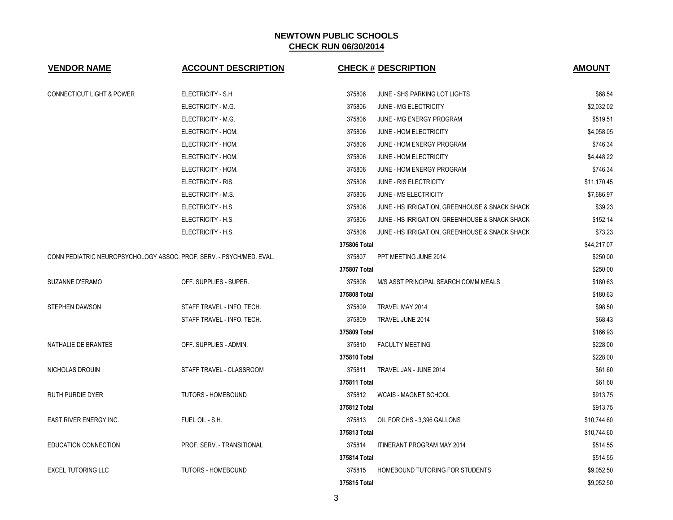| <b>VENDOR NAME</b>                   | <b>ACCOUNT DESCRIPTION</b>                                           | <b>CHECK # DESCRIPTION</b>                               | <b>AMOUNT</b> |
|--------------------------------------|----------------------------------------------------------------------|----------------------------------------------------------|---------------|
| <b>CONNECTICUT LIGHT &amp; POWER</b> | ELECTRICITY - S.H.                                                   | 375806<br>JUNE - SHS PARKING LOT LIGHTS                  | \$68.54       |
|                                      | ELECTRICITY - M.G.                                                   | 375806<br>JUNE - MG ELECTRICITY                          | \$2,032.02    |
|                                      | ELECTRICITY - M.G.                                                   | 375806<br>JUNE - MG ENERGY PROGRAM                       | \$519.51      |
|                                      | ELECTRICITY - HOM.                                                   | 375806<br>JUNE - HOM ELECTRICITY                         | \$4,058.05    |
|                                      | ELECTRICITY - HOM.                                                   | 375806<br>JUNE - HOM ENERGY PROGRAM                      | \$746.34      |
|                                      | ELECTRICITY - HOM.                                                   | 375806<br>JUNE - HOM ELECTRICITY                         | \$4,448.22    |
|                                      | ELECTRICITY - HOM.                                                   | 375806<br>JUNE - HOM ENERGY PROGRAM                      | \$746.34      |
|                                      | ELECTRICITY - RIS.                                                   | 375806<br>JUNE - RIS ELECTRICITY                         | \$11,170.45   |
|                                      | ELECTRICITY - M.S.                                                   | 375806<br>JUNE - MS ELECTRICITY                          | \$7,686.97    |
|                                      | ELECTRICITY - H.S.                                                   | 375806<br>JUNE - HS IRRIGATION, GREENHOUSE & SNACK SHACK | \$39.23       |
|                                      | ELECTRICITY - H.S.                                                   | 375806<br>JUNE - HS IRRIGATION, GREENHOUSE & SNACK SHACK | \$152.14      |
|                                      | ELECTRICITY - H.S.                                                   | 375806<br>JUNE - HS IRRIGATION, GREENHOUSE & SNACK SHACK | \$73.23       |
|                                      |                                                                      | 375806 Total                                             | \$44,217.07   |
|                                      | CONN PEDIATRIC NEUROPSYCHOLOGY ASSOC. PROF. SERV. - PSYCH/MED. EVAL. | PPT MEETING JUNE 2014<br>375807                          | \$250.00      |
|                                      |                                                                      | 375807 Total                                             | \$250.00      |
| <b>SUZANNE D'ERAMO</b>               | OFF. SUPPLIES - SUPER.                                               | 375808<br>M/S ASST PRINCIPAL SEARCH COMM MEALS           | \$180.63      |
|                                      |                                                                      | 375808 Total                                             | \$180.63      |
| <b>STEPHEN DAWSON</b>                | STAFF TRAVEL - INFO. TECH.                                           | 375809<br>TRAVEL MAY 2014                                | \$98.50       |
|                                      | STAFF TRAVEL - INFO. TECH.                                           | 375809<br>TRAVEL JUNE 2014                               | \$68.43       |
|                                      |                                                                      | 375809 Total                                             | \$166.93      |
| NATHALIE DE BRANTES                  | OFF. SUPPLIES - ADMIN.                                               | 375810<br><b>FACULTY MEETING</b>                         | \$228.00      |
|                                      |                                                                      | 375810 Total                                             | \$228.00      |
| NICHOLAS DROUIN                      | STAFF TRAVEL - CLASSROOM                                             | 375811<br>TRAVEL JAN - JUNE 2014                         | \$61.60       |
|                                      |                                                                      | 375811 Total                                             | \$61.60       |
| RUTH PURDIE DYER                     | <b>TUTORS - HOMEBOUND</b>                                            | 375812<br><b>WCAIS - MAGNET SCHOOL</b>                   | \$913.75      |
|                                      |                                                                      | 375812 Total                                             | \$913.75      |
| <b>EAST RIVER ENERGY INC.</b>        | FUEL OIL - S.H.                                                      | 375813<br>OIL FOR CHS - 3,396 GALLONS                    | \$10,744.60   |
|                                      |                                                                      | 375813 Total                                             | \$10,744.60   |
| <b>EDUCATION CONNECTION</b>          | PROF. SERV. - TRANSITIONAL                                           | 375814<br>ITINERANT PROGRAM MAY 2014                     | \$514.55      |
|                                      |                                                                      | 375814 Total                                             | \$514.55      |
| <b>EXCEL TUTORING LLC</b>            | <b>TUTORS - HOMEBOUND</b>                                            | 375815<br>HOMEBOUND TUTORING FOR STUDENTS                | \$9,052.50    |
|                                      |                                                                      | 375815 Total                                             | \$9.052.50    |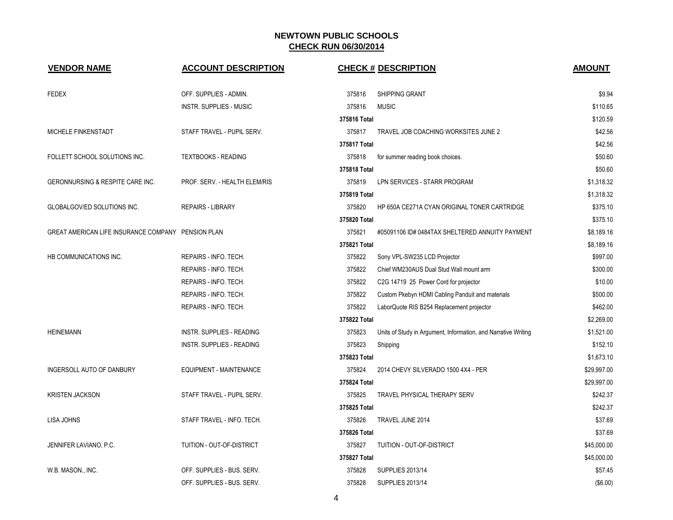| <b>VENDOR NAME</b>                                 | <b>ACCOUNT DESCRIPTION</b>       |              | <b>CHECK # DESCRIPTION</b>                                     | <b>AMOUNT</b> |
|----------------------------------------------------|----------------------------------|--------------|----------------------------------------------------------------|---------------|
|                                                    |                                  |              |                                                                |               |
| <b>FEDEX</b>                                       | OFF. SUPPLIES - ADMIN.           | 375816       | <b>SHIPPING GRANT</b>                                          | \$9.94        |
|                                                    | <b>INSTR. SUPPLIES - MUSIC</b>   | 375816       | <b>MUSIC</b>                                                   | \$110.65      |
|                                                    |                                  | 375816 Total |                                                                | \$120.59      |
| MICHELE FINKENSTADT                                | STAFF TRAVEL - PUPIL SERV.       | 375817       | TRAVEL JOB COACHING WORKSITES JUNE 2                           | \$42.56       |
|                                                    |                                  | 375817 Total |                                                                | \$42.56       |
| FOLLETT SCHOOL SOLUTIONS INC.                      | <b>TEXTBOOKS - READING</b>       | 375818       | for summer reading book choices.                               | \$50.60       |
|                                                    |                                  | 375818 Total |                                                                | \$50.60       |
| GERONNURSING & RESPITE CARE INC.                   | PROF. SERV. - HEALTH ELEM/RIS    | 375819       | LPN SERVICES - STARR PROGRAM                                   | \$1,318.32    |
|                                                    |                                  | 375819 Total |                                                                | \$1,318.32    |
| GLOBALGOV/ED SOLUTIONS INC.                        | <b>REPAIRS - LIBRARY</b>         | 375820       | HP 650A CE271A CYAN ORIGINAL TONER CARTRIDGE                   | \$375.10      |
|                                                    |                                  | 375820 Total |                                                                | \$375.10      |
| GREAT AMERICAN LIFE INSURANCE COMPANY PENSION PLAN |                                  | 375821       | #05091106 ID# 0484TAX SHELTERED ANNUITY PAYMENT                | \$8,189.16    |
|                                                    |                                  | 375821 Total |                                                                | \$8,189.16    |
| HB COMMUNICATIONS INC.                             | REPAIRS - INFO. TECH.            | 375822       | Sony VPL-SW235 LCD Projector                                   | \$997.00      |
|                                                    | REPAIRS - INFO. TECH.            | 375822       | Chief WM230AUS Dual Stud Wall mount arm                        | \$300.00      |
|                                                    | REPAIRS - INFO. TECH.            | 375822       | C2G 14719 25 Power Cord for projector                          | \$10.00       |
|                                                    | REPAIRS - INFO. TECH.            | 375822       | Custom Pkebyn HDMI Cabling Panduit and materials               | \$500.00      |
|                                                    | REPAIRS - INFO. TECH.            | 375822       | LaborQuote RIS B254 Replacement projector                      | \$462.00      |
|                                                    |                                  | 375822 Total |                                                                | \$2,269.00    |
| <b>HEINEMANN</b>                                   | <b>INSTR. SUPPLIES - READING</b> | 375823       | Units of Study in Argument, Information, and Narrative Writing | \$1,521.00    |
|                                                    | <b>INSTR. SUPPLIES - READING</b> | 375823       | Shipping                                                       | \$152.10      |
|                                                    |                                  | 375823 Total |                                                                | \$1,673.10    |
| INGERSOLL AUTO OF DANBURY                          | EQUIPMENT - MAINTENANCE          | 375824       | 2014 CHEVY SILVERADO 1500 4X4 - PER                            | \$29,997.00   |
|                                                    |                                  | 375824 Total |                                                                | \$29,997.00   |
| <b>KRISTEN JACKSON</b>                             | STAFF TRAVEL - PUPIL SERV.       | 375825       | TRAVEL PHYSICAL THERAPY SERV                                   | \$242.37      |
|                                                    |                                  | 375825 Total |                                                                | \$242.37      |
| LISA JOHNS                                         | STAFF TRAVEL - INFO. TECH.       | 375826       | TRAVEL JUNE 2014                                               | \$37.69       |
|                                                    |                                  | 375826 Total |                                                                | \$37.69       |
| JENNIFER LAVIANO, P.C.                             | TUITION - OUT-OF-DISTRICT        | 375827       | TUITION - OUT-OF-DISTRICT                                      | \$45,000.00   |
|                                                    |                                  | 375827 Total |                                                                | \$45,000.00   |
| W.B. MASON., INC.                                  | OFF. SUPPLIES - BUS. SERV.       | 375828       | <b>SUPPLIES 2013/14</b>                                        | \$57.45       |
|                                                    | OFF. SUPPLIES - BUS. SERV.       | 375828       | <b>SUPPLIES 2013/14</b>                                        | (\$6.00)      |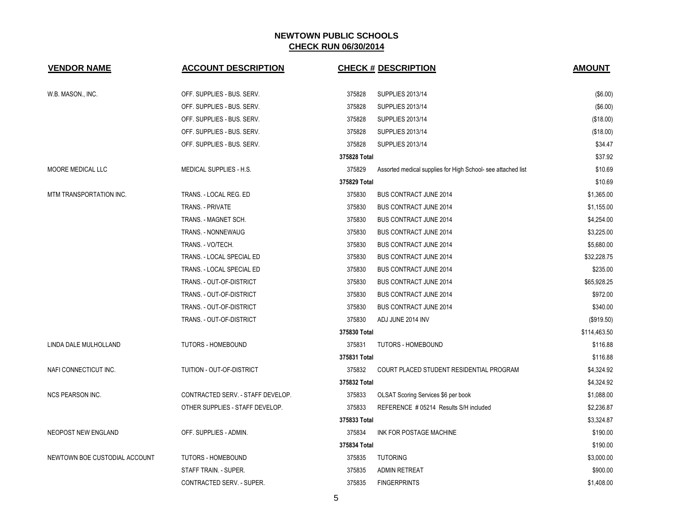| <b>VENDOR NAME</b>            | <b>ACCOUNT DESCRIPTION</b>        |              | <b>CHECK # DESCRIPTION</b>                                   | <b>AMOUNT</b> |
|-------------------------------|-----------------------------------|--------------|--------------------------------------------------------------|---------------|
|                               |                                   |              |                                                              |               |
| W.B. MASON., INC.             | OFF. SUPPLIES - BUS. SERV.        | 375828       | <b>SUPPLIES 2013/14</b>                                      | (\$6.00)      |
|                               | OFF. SUPPLIES - BUS. SERV.        | 375828       | <b>SUPPLIES 2013/14</b>                                      | (\$6.00)      |
|                               | OFF. SUPPLIES - BUS. SERV.        | 375828       | <b>SUPPLIES 2013/14</b>                                      | (\$18.00)     |
|                               | OFF. SUPPLIES - BUS. SERV.        | 375828       | <b>SUPPLIES 2013/14</b>                                      | (\$18.00)     |
|                               | OFF. SUPPLIES - BUS. SERV.        | 375828       | <b>SUPPLIES 2013/14</b>                                      | \$34.47       |
|                               |                                   | 375828 Total |                                                              | \$37.92       |
| MOORE MEDICAL LLC             | MEDICAL SUPPLIES - H.S.           | 375829       | Assorted medical supplies for High School- see attached list | \$10.69       |
|                               |                                   | 375829 Total |                                                              | \$10.69       |
| MTM TRANSPORTATION INC.       | TRANS. - LOCAL REG. ED            | 375830       | <b>BUS CONTRACT JUNE 2014</b>                                | \$1,365.00    |
|                               | TRANS. - PRIVATE                  | 375830       | <b>BUS CONTRACT JUNE 2014</b>                                | \$1,155.00    |
|                               | TRANS. - MAGNET SCH.              | 375830       | <b>BUS CONTRACT JUNE 2014</b>                                | \$4,254.00    |
|                               | TRANS. - NONNEWAUG                | 375830       | <b>BUS CONTRACT JUNE 2014</b>                                | \$3,225.00    |
|                               | TRANS. - VO/TECH.                 | 375830       | <b>BUS CONTRACT JUNE 2014</b>                                | \$5,680.00    |
|                               | TRANS. - LOCAL SPECIAL ED         | 375830       | <b>BUS CONTRACT JUNE 2014</b>                                | \$32,228.75   |
|                               | TRANS. - LOCAL SPECIAL ED         | 375830       | <b>BUS CONTRACT JUNE 2014</b>                                | \$235.00      |
|                               | TRANS. - OUT-OF-DISTRICT          | 375830       | <b>BUS CONTRACT JUNE 2014</b>                                | \$65,928.25   |
|                               | TRANS. - OUT-OF-DISTRICT          | 375830       | <b>BUS CONTRACT JUNE 2014</b>                                | \$972.00      |
|                               | TRANS. - OUT-OF-DISTRICT          | 375830       | <b>BUS CONTRACT JUNE 2014</b>                                | \$340.00      |
|                               | TRANS. - OUT-OF-DISTRICT          | 375830       | ADJ JUNE 2014 INV                                            | (\$919.50)    |
|                               |                                   | 375830 Total |                                                              | \$114,463.50  |
| LINDA DALE MULHOLLAND         | TUTORS - HOMEBOUND                | 375831       | <b>TUTORS - HOMEBOUND</b>                                    | \$116.88      |
|                               |                                   | 375831 Total |                                                              | \$116.88      |
| NAFI CONNECTICUT INC.         | TUITION - OUT-OF-DISTRICT         | 375832       | COURT PLACED STUDENT RESIDENTIAL PROGRAM                     | \$4,324.92    |
|                               |                                   | 375832 Total |                                                              | \$4,324.92    |
| <b>NCS PEARSON INC.</b>       | CONTRACTED SERV. - STAFF DEVELOP. | 375833       | OLSAT Scoring Services \$6 per book                          | \$1,088.00    |
|                               | OTHER SUPPLIES - STAFF DEVELOP.   | 375833       | REFERENCE # 05214 Results S/H included                       | \$2,236.87    |
|                               |                                   | 375833 Total |                                                              | \$3,324.87    |
| NEOPOST NEW ENGLAND           | OFF. SUPPLIES - ADMIN.            | 375834       | INK FOR POSTAGE MACHINE                                      | \$190.00      |
|                               |                                   | 375834 Total |                                                              | \$190.00      |
| NEWTOWN BOE CUSTODIAL ACCOUNT | <b>TUTORS - HOMEBOUND</b>         | 375835       | <b>TUTORING</b>                                              | \$3,000.00    |
|                               | STAFF TRAIN. - SUPER.             | 375835       | <b>ADMIN RETREAT</b>                                         | \$900.00      |
|                               | CONTRACTED SERV. - SUPER.         | 375835       | <b>FINGERPRINTS</b>                                          | \$1,408.00    |
|                               |                                   |              |                                                              |               |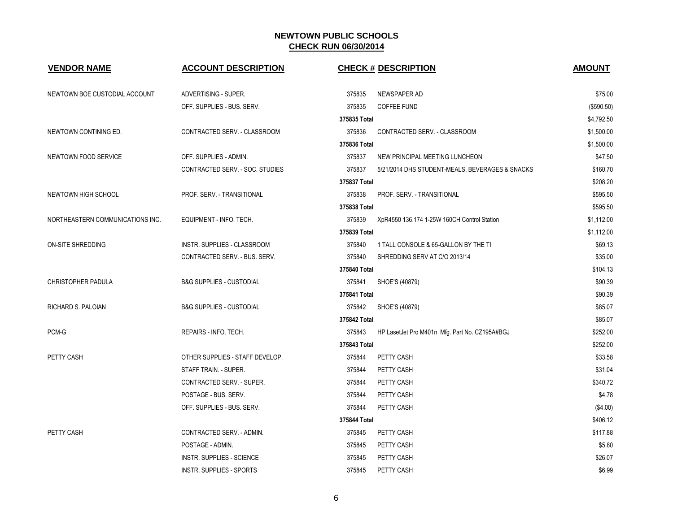| <b>VENDOR NAME</b>               | <b>ACCOUNT DESCRIPTION</b>          |              | <b>CHECK # DESCRIPTION</b>                      | <b>AMOUNT</b> |
|----------------------------------|-------------------------------------|--------------|-------------------------------------------------|---------------|
| NEWTOWN BOE CUSTODIAL ACCOUNT    | ADVERTISING - SUPER.                | 375835       | NEWSPAPER AD                                    | \$75.00       |
|                                  | OFF. SUPPLIES - BUS. SERV.          | 375835       | <b>COFFEE FUND</b>                              | (\$590.50)    |
|                                  |                                     | 375835 Total |                                                 | \$4,792.50    |
| NEWTOWN CONTINING ED.            | CONTRACTED SERV. - CLASSROOM        | 375836       | CONTRACTED SERV. - CLASSROOM                    | \$1,500.00    |
|                                  |                                     | 375836 Total |                                                 | \$1,500.00    |
| NEWTOWN FOOD SERVICE             | OFF. SUPPLIES - ADMIN.              | 375837       | NEW PRINCIPAL MEETING LUNCHEON                  | \$47.50       |
|                                  | CONTRACTED SERV. - SOC. STUDIES     | 375837       | 5/21/2014 DHS STUDENT-MEALS, BEVERAGES & SNACKS | \$160.70      |
|                                  |                                     | 375837 Total |                                                 | \$208.20      |
| NEWTOWN HIGH SCHOOL              | PROF. SERV. - TRANSITIONAL          | 375838       | PROF. SERV. - TRANSITIONAL                      | \$595.50      |
|                                  |                                     | 375838 Total |                                                 | \$595.50      |
| NORTHEASTERN COMMUNICATIONS INC. | EQUIPMENT - INFO. TECH.             | 375839       | XpR4550 136.174 1-25W 160CH Control Station     | \$1,112.00    |
|                                  |                                     | 375839 Total |                                                 | \$1,112.00    |
| ON-SITE SHREDDING                | INSTR. SUPPLIES - CLASSROOM         | 375840       | 1 TALL CONSOLE & 65-GALLON BY THE TI            | \$69.13       |
|                                  | CONTRACTED SERV. - BUS. SERV.       | 375840       | SHREDDING SERV AT C/O 2013/14                   | \$35.00       |
|                                  |                                     | 375840 Total |                                                 | \$104.13      |
| CHRISTOPHER PADULA               | <b>B&amp;G SUPPLIES - CUSTODIAL</b> | 375841       | SHOE'S (40879)                                  | \$90.39       |
|                                  |                                     | 375841 Total |                                                 | \$90.39       |
| RICHARD S. PALOIAN               | <b>B&amp;G SUPPLIES - CUSTODIAL</b> | 375842       | SHOE'S (40879)                                  | \$85.07       |
|                                  |                                     | 375842 Total |                                                 | \$85.07       |
| PCM-G                            | REPAIRS - INFO. TECH.               | 375843       | HP LasetJet Pro M401n Mfg. Part No. CZ195A#BGJ  | \$252.00      |
|                                  |                                     | 375843 Total |                                                 | \$252.00      |
| PETTY CASH                       | OTHER SUPPLIES - STAFF DEVELOP.     | 375844       | PETTY CASH                                      | \$33.58       |
|                                  | STAFF TRAIN. - SUPER.               | 375844       | PETTY CASH                                      | \$31.04       |
|                                  | CONTRACTED SERV. - SUPER.           | 375844       | PETTY CASH                                      | \$340.72      |
|                                  | POSTAGE - BUS. SERV.                | 375844       | PETTY CASH                                      | \$4.78        |
|                                  | OFF. SUPPLIES - BUS. SERV.          | 375844       | PETTY CASH                                      | (\$4.00)      |
|                                  |                                     | 375844 Total |                                                 | \$406.12      |
| PETTY CASH                       | CONTRACTED SERV. - ADMIN.           | 375845       | PETTY CASH                                      | \$117.88      |
|                                  | POSTAGE - ADMIN.                    | 375845       | PETTY CASH                                      | \$5.80        |
|                                  | INSTR. SUPPLIES - SCIENCE           | 375845       | PETTY CASH                                      | \$26.07       |
|                                  | INSTR. SUPPLIES - SPORTS            | 375845       | PETTY CASH                                      | \$6.99        |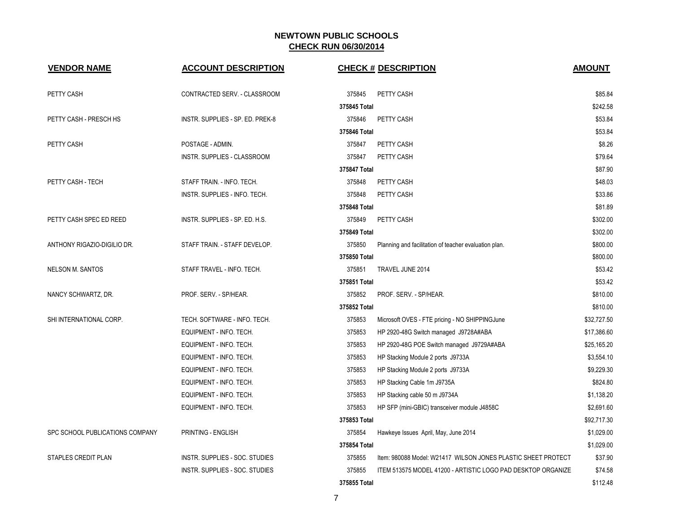| <b>VENDOR NAME</b>              | <b>ACCOUNT DESCRIPTION</b>       |              | <b>CHECK # DESCRIPTION</b>                                    | <b>AMOUNT</b> |
|---------------------------------|----------------------------------|--------------|---------------------------------------------------------------|---------------|
| PETTY CASH                      | CONTRACTED SERV. - CLASSROOM     | 375845       | PETTY CASH                                                    | \$85.84       |
|                                 |                                  | 375845 Total |                                                               | \$242.58      |
| PETTY CASH - PRESCH HS          | INSTR. SUPPLIES - SP. ED. PREK-8 | 375846       | PETTY CASH                                                    | \$53.84       |
|                                 |                                  | 375846 Total |                                                               | \$53.84       |
| PETTY CASH                      | POSTAGE - ADMIN.                 | 375847       | PETTY CASH                                                    | \$8.26        |
|                                 | INSTR. SUPPLIES - CLASSROOM      | 375847       | PETTY CASH                                                    | \$79.64       |
|                                 |                                  | 375847 Total |                                                               | \$87.90       |
| PETTY CASH - TECH               | STAFF TRAIN. - INFO. TECH.       | 375848       | PETTY CASH                                                    | \$48.03       |
|                                 | INSTR. SUPPLIES - INFO. TECH.    | 375848       | PETTY CASH                                                    | \$33.86       |
|                                 |                                  | 375848 Total |                                                               | \$81.89       |
| PETTY CASH SPEC ED REED         | INSTR. SUPPLIES - SP. ED. H.S.   | 375849       | PETTY CASH                                                    | \$302.00      |
|                                 |                                  | 375849 Total |                                                               | \$302.00      |
| ANTHONY RIGAZIO-DIGILIO DR.     | STAFF TRAIN. - STAFF DEVELOP.    | 375850       | Planning and facilitation of teacher evaluation plan.         | \$800.00      |
|                                 |                                  | 375850 Total |                                                               | \$800.00      |
| <b>NELSON M. SANTOS</b>         | STAFF TRAVEL - INFO. TECH.       | 375851       | TRAVEL JUNE 2014                                              | \$53.42       |
|                                 |                                  | 375851 Total |                                                               | \$53.42       |
| NANCY SCHWARTZ, DR.             | PROF. SERV. - SP/HEAR.           | 375852       | PROF. SERV. - SP/HEAR.                                        | \$810.00      |
|                                 |                                  | 375852 Total |                                                               | \$810.00      |
| SHI INTERNATIONAL CORP.         | TECH. SOFTWARE - INFO. TECH.     | 375853       | Microsoft OVES - FTE pricing - NO SHIPPINGJune                | \$32,727.50   |
|                                 | EQUIPMENT - INFO. TECH.          | 375853       | HP 2920-48G Switch managed J9728A#ABA                         | \$17,386.60   |
|                                 | EQUIPMENT - INFO. TECH.          | 375853       | HP 2920-48G POE Switch managed J9729A#ABA                     | \$25,165.20   |
|                                 | EQUIPMENT - INFO. TECH.          | 375853       | HP Stacking Module 2 ports J9733A                             | \$3,554.10    |
|                                 | EQUIPMENT - INFO. TECH.          | 375853       | HP Stacking Module 2 ports J9733A                             | \$9,229.30    |
|                                 | EQUIPMENT - INFO. TECH.          | 375853       | HP Stacking Cable 1m J9735A                                   | \$824.80      |
|                                 | EQUIPMENT - INFO. TECH.          | 375853       | HP Stacking cable 50 m J9734A                                 | \$1,138.20    |
|                                 | EQUIPMENT - INFO. TECH.          | 375853       | HP SFP (mini-GBIC) transceiver module J4858C                  | \$2,691.60    |
|                                 |                                  | 375853 Total |                                                               | \$92,717.30   |
| SPC SCHOOL PUBLICATIONS COMPANY | PRINTING - ENGLISH               | 375854       | Hawkeye Issues April, May, June 2014                          | \$1,029.00    |
|                                 |                                  | 375854 Total |                                                               | \$1,029.00    |
| STAPLES CREDIT PLAN             | INSTR. SUPPLIES - SOC. STUDIES   | 375855       | Item: 980088 Model: W21417 WILSON JONES PLASTIC SHEET PROTECT | \$37.90       |
|                                 | INSTR. SUPPLIES - SOC. STUDIES   | 375855       | ITEM 513575 MODEL 41200 - ARTISTIC LOGO PAD DESKTOP ORGANIZE  | \$74.58       |
|                                 |                                  | 375855 Total |                                                               | \$112.48      |